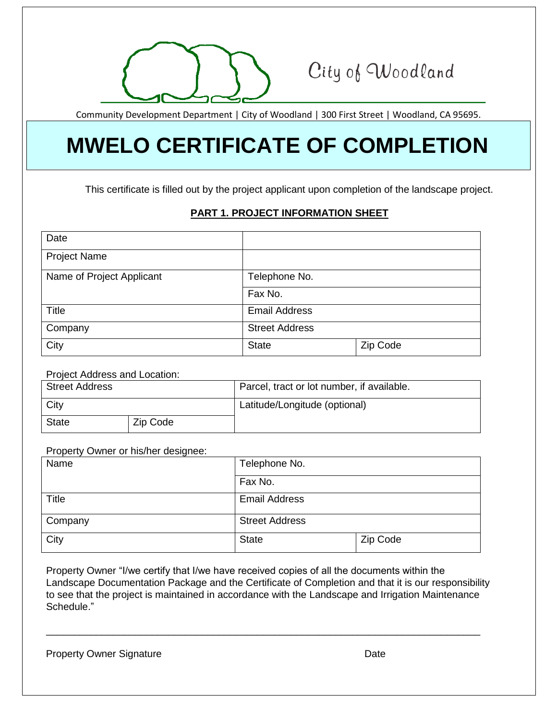

## City of Woodland

Community Development Department | City of Woodland | 300 First Street | Woodland, CA 95695.

# **MWELO CERTIFICATE OF COMPLETION**

This certificate is filled out by the project applicant upon completion of the landscape project.

### **PART 1. PROJECT INFORMATION SHEET**

| Date                      |                       |          |
|---------------------------|-----------------------|----------|
| <b>Project Name</b>       |                       |          |
| Name of Project Applicant | Telephone No.         |          |
|                           | Fax No.               |          |
| <b>Title</b>              | <b>Email Address</b>  |          |
| Company                   | <b>Street Address</b> |          |
| City                      | <b>State</b>          | Zip Code |

#### Project Address and Location:

| <b>Street Address</b> |          | Parcel, tract or lot number, if available. |
|-----------------------|----------|--------------------------------------------|
| <b>City</b>           |          | Latitude/Longitude (optional)              |
| <b>State</b>          | Zip Code |                                            |

#### Property Owner or his/her designee:

| Name    | Telephone No.         |          |  |
|---------|-----------------------|----------|--|
|         | Fax No.               |          |  |
| Title   | <b>Email Address</b>  |          |  |
| Company | <b>Street Address</b> |          |  |
| City    | <b>State</b>          | Zip Code |  |

Property Owner "I/we certify that I/we have received copies of all the documents within the Landscape Documentation Package and the Certificate of Completion and that it is our responsibility to see that the project is maintained in accordance with the Landscape and Irrigation Maintenance Schedule."

\_\_\_\_\_\_\_\_\_\_\_\_\_\_\_\_\_\_\_\_\_\_\_\_\_\_\_\_\_\_\_\_\_\_\_\_\_\_\_\_\_\_\_\_\_\_\_\_\_\_\_\_\_\_\_\_\_\_\_\_\_\_\_\_\_\_\_\_\_\_\_\_\_\_\_\_\_\_

| <b>Property Owner Signature</b> | Date |
|---------------------------------|------|
|---------------------------------|------|